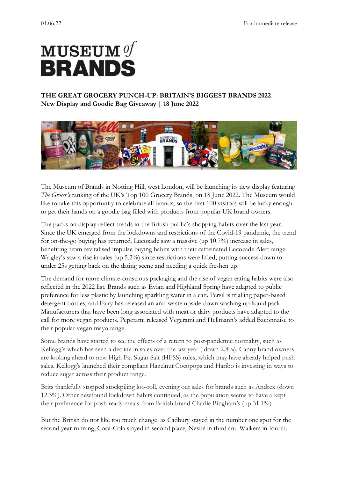# $\mathbf M \mathbf U \mathbf S \mathbf E \mathbf U \mathbf M$   $\mathcal{G}^T$ **BRANDS**

## **THE GREAT GROCERY PUNCH-UP: BRITAIN'S BIGGEST BRANDS 2022 New Display and Goodie Bag Giveaway | 18 June 2022**



The Museum of Brands in Notting Hill, west London, will be launching its new display featuring *The Grocer's* ranking of the UK's Top 100 Grocery Brands, on 18 June 2022. The Museum would like to take this opportunity to celebrate all brands, so the first 100 visitors will be lucky enough to get their hands on a goodie bag filled with products from popular UK brand owners.

The packs on display reflect trends in the British public's shopping habits over the last year. Since the UK emerged from the lockdowns and restrictions of the Covid-19 pandemic, the trend for on-the-go buying has returned. Lucozade saw a massive (up 10.7%) increase in sales, benefiting from revitalised impulse buying habits with their caffeinated Lucozade Alert range. Wrigley's saw a rise in sales (up 5.2%) since restrictions were lifted, putting success down to under 25s getting back on the dating scene and needing a quick freshen up.

The demand for more climate-conscious packaging and the rise of vegan eating habits were also reflected in the 2022 list. Brands such as Evian and Highland Spring have adapted to public preference for less plastic by launching sparkling water in a can. Persil is trialling paper-based detergent bottles, and Fairy has released an anti-waste upside-down washing up liquid pack. Manufacturers that have been long associated with meat or dairy products have adapted to the call for more vegan products. Peperami released Vegerami and Hellmann's added Baconnaise to their popular vegan mayo range.

Some brands have started to see the effects of a return to post-pandemic normality, such as Kellogg's which has seen a decline in sales over the last year ( down 2.8%). Canny brand owners are looking ahead to new High Fat Sugar Salt (HFSS) rules, which may have already helped push sales. Kellogg's launched their compliant Hazelnut Cocopops and Haribo is investing in ways to reduce sugar across their product range.

Brits thankfully stopped stockpiling loo-roll, evening out sales for brands such as Andrex (down 12.3%). Other newfound lockdown habits continued, as the population seems to have a kept their preference for posh ready meals from British brand Charlie Bingham's (up 31.1%).

But the British do not like too much change, as Cadbury stayed in the number one spot for the second year running, Coca-Cola stayed in second place, Nestlé in third and Walkers in fourth.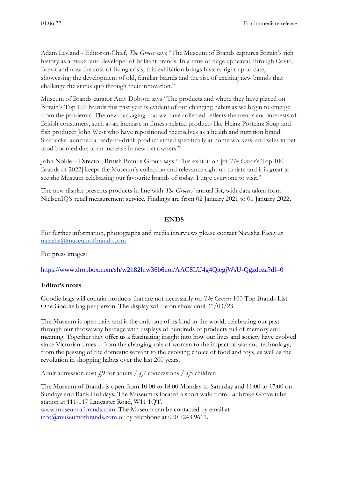Adam Leyland - Editor-in-Chief, *The Grocer* says "The Museum of Brands captures Britain's rich history as a maker and developer of brilliant brands. In a time of huge upheaval, through Covid, Brexit and now the cost-of-living crisis, this exhibition brings history right up to date, showcasing the development of old, familiar brands and the rise of exciting new brands that challenge the status quo through their innovation."

Museum of Brands curator Amy Dobson says "The products and where they have placed on Britain's Top 100 brands this past year is evident of our changing habits as we begin to emerge from the pandemic. The new packaging that we have collected reflects the trends and interests of British consumers, such as an increase in fitness-related products like Heinz Proteinz Soup and fish producer John West who have repositioned themselves as a health and nutrition brand. Starbucks launched a ready-to-drink product aimed specifically at home workers, and sales in pet food boomed due to an increase in new pet owners!"

John Noble – Director, British Brands Group says "This exhibition [of *The Grocer*'s Top 100 Brands of 2022] keeps the Museum's collection and relevance right up to date and it is great to see the Museum celebrating our favourite brands of today. I urge everyone to visit."

The new display presents products in line with *The Grocers'* annual list, with data taken from NielsenIQ's retail measurement service. Findings are from 02 January 2021 to 01 January 2022.

### **ENDS**

For further information, photographs and media interviews please contact Natasha Facey at [natasha@museumofbrands.com](mailto:natasha@museumofbrands.com)

For press images:

<https://www.dropbox.com/sh/w2h82lnw36b6uoi/AAC8LU4g4QiegjWsU-Qgzdoza?dl=0>

### **Editor's notes**

Goodie bags will contain products that are not necessarily on *The Grocers* 100 Top Brands List. One Goodie bag per person. The display will be on show until 31/03/23

The Museum is open daily and is the only one of its kind in the world, celebrating our past through our throwaway heritage with displays of hundreds of products full of memory and meaning. Together they offer us a fascinating insight into how our lives and society have evolved since Victorian times – from the changing role of women to the impact of war and technology; from the passing of the domestic servant to the evolving choice of food and toys, as well as the revolution in shopping habits over the last 200 years.

Adult admission cost  $f_{\rm s}$ <sup>9</sup> for adults /  $f_{\rm s}$ 7 concessions /  $f_{\rm s}$ 5 children

The Museum of Brands is open from 10:00 to 18:00 Monday to Saturday and 11:00 to 17:00 on Sundays and Bank Holidays. The Museum is located a short walk from Ladbroke Grove tube station at 111-117 Lancaster Road, W11 1QT. [www.museumofbrands.com.](http://www.museumofbrands.com/) The Museum can be contacted by email at

[info@museumofbrands.com](mailto:info@museumofbrands.com) or by telephone at 020 7243 9611.